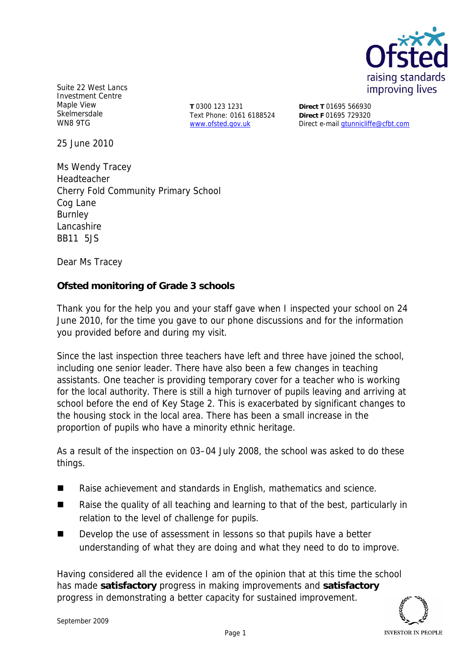

Suite 22 West Lancs Investment Centre Maple View Skelmersdale WN8 9TG

**T** 0300 123 1231 Text Phone: 0161 6188524 www.ofsted.gov.uk

**Direct T** 01695 566930 **Direct F** 01695 729320 Direct e-mail gtunnicliffe@cfbt.com

25 June 2010

Ms Wendy Tracey Headteacher Cherry Fold Community Primary School Cog Lane Burnley Lancashire BB11 5JS

Dear Ms Tracey

**Ofsted monitoring of Grade 3 schools**

Thank you for the help you and your staff gave when I inspected your school on 24 June 2010*,* for the time you gave to our phone discussions and for the information you provided before and during my visit*.*

Since the last inspection three teachers have left and three have joined the school, including one senior leader. There have also been a few changes in teaching assistants. One teacher is providing temporary cover for a teacher who is working for the local authority. There is still a high turnover of pupils leaving and arriving at school before the end of Key Stage 2. This is exacerbated by significant changes to the housing stock in the local area. There has been a small increase in the proportion of pupils who have a minority ethnic heritage.

As a result of the inspection on 03–04 July 2008, the school was asked to do these things.

- Raise achievement and standards in English, mathematics and science.
- Raise the quality of all teaching and learning to that of the best, particularly in relation to the level of challenge for pupils.
- Develop the use of assessment in lessons so that pupils have a better understanding of what they are doing and what they need to do to improve.

Having considered all the evidence I am of the opinion that at this time the school has made **satisfactory** progress in making improvements and **satisfactory** progress in demonstrating a better capacity for sustained improvement.

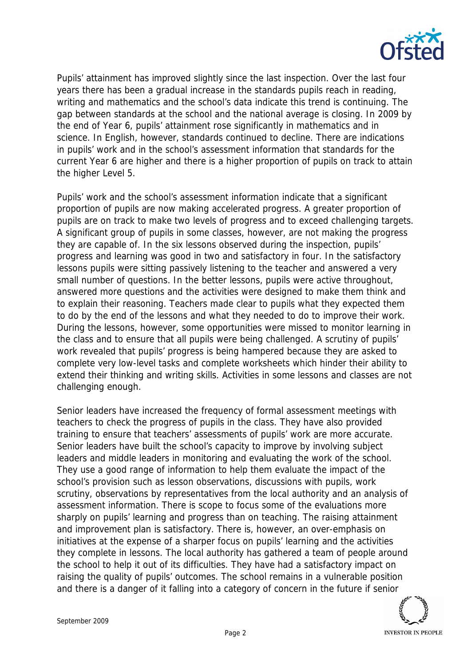

Pupils' attainment has improved slightly since the last inspection. Over the last four years there has been a gradual increase in the standards pupils reach in reading, writing and mathematics and the school's data indicate this trend is continuing. The gap between standards at the school and the national average is closing. In 2009 by the end of Year 6, pupils' attainment rose significantly in mathematics and in science. In English, however, standards continued to decline. There are indications in pupils' work and in the school's assessment information that standards for the current Year 6 are higher and there is a higher proportion of pupils on track to attain the higher Level 5.

Pupils' work and the school's assessment information indicate that a significant proportion of pupils are now making accelerated progress. A greater proportion of pupils are on track to make two levels of progress and to exceed challenging targets. A significant group of pupils in some classes, however, are not making the progress they are capable of. In the six lessons observed during the inspection, pupils' progress and learning was good in two and satisfactory in four. In the satisfactory lessons pupils were sitting passively listening to the teacher and answered a very small number of questions. In the better lessons, pupils were active throughout, answered more questions and the activities were designed to make them think and to explain their reasoning. Teachers made clear to pupils what they expected them to do by the end of the lessons and what they needed to do to improve their work. During the lessons, however, some opportunities were missed to monitor learning in the class and to ensure that all pupils were being challenged. A scrutiny of pupils' work revealed that pupils' progress is being hampered because they are asked to complete very low-level tasks and complete worksheets which hinder their ability to extend their thinking and writing skills. Activities in some lessons and classes are not challenging enough.

Senior leaders have increased the frequency of formal assessment meetings with teachers to check the progress of pupils in the class. They have also provided training to ensure that teachers' assessments of pupils' work are more accurate. Senior leaders have built the school's capacity to improve by involving subject leaders and middle leaders in monitoring and evaluating the work of the school. They use a good range of information to help them evaluate the impact of the school's provision such as lesson observations, discussions with pupils, work scrutiny, observations by representatives from the local authority and an analysis of assessment information. There is scope to focus some of the evaluations more sharply on pupils' learning and progress than on teaching. The raising attainment and improvement plan is satisfactory. There is, however, an over-emphasis on initiatives at the expense of a sharper focus on pupils' learning and the activities they complete in lessons. The local authority has gathered a team of people around the school to help it out of its difficulties. They have had a satisfactory impact on raising the quality of pupils' outcomes. The school remains in a vulnerable position and there is a danger of it falling into a category of concern in the future if senior